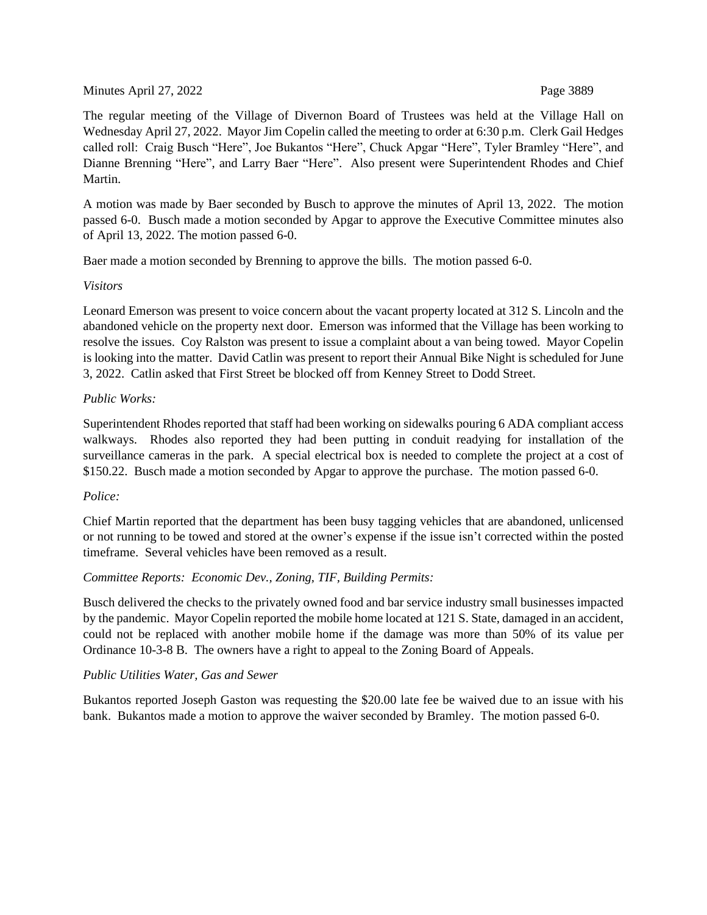Minutes April 27, 2022 **Page 3889** 

The regular meeting of the Village of Divernon Board of Trustees was held at the Village Hall on Wednesday April 27, 2022. Mayor Jim Copelin called the meeting to order at 6:30 p.m. Clerk Gail Hedges called roll: Craig Busch "Here", Joe Bukantos "Here", Chuck Apgar "Here", Tyler Bramley "Here", and Dianne Brenning "Here", and Larry Baer "Here". Also present were Superintendent Rhodes and Chief Martin.

A motion was made by Baer seconded by Busch to approve the minutes of April 13, 2022. The motion passed 6-0. Busch made a motion seconded by Apgar to approve the Executive Committee minutes also of April 13, 2022. The motion passed 6-0.

Baer made a motion seconded by Brenning to approve the bills. The motion passed 6-0.

# *Visitors*

Leonard Emerson was present to voice concern about the vacant property located at 312 S. Lincoln and the abandoned vehicle on the property next door. Emerson was informed that the Village has been working to resolve the issues. Coy Ralston was present to issue a complaint about a van being towed. Mayor Copelin is looking into the matter. David Catlin was present to report their Annual Bike Night is scheduled for June 3, 2022. Catlin asked that First Street be blocked off from Kenney Street to Dodd Street.

# *Public Works:*

Superintendent Rhodes reported that staff had been working on sidewalks pouring 6 ADA compliant access walkways. Rhodes also reported they had been putting in conduit readying for installation of the surveillance cameras in the park. A special electrical box is needed to complete the project at a cost of \$150.22. Busch made a motion seconded by Apgar to approve the purchase. The motion passed 6-0.

# *Police:*

Chief Martin reported that the department has been busy tagging vehicles that are abandoned, unlicensed or not running to be towed and stored at the owner's expense if the issue isn't corrected within the posted timeframe. Several vehicles have been removed as a result.

# *Committee Reports: Economic Dev., Zoning, TIF, Building Permits:*

Busch delivered the checks to the privately owned food and bar service industry small businesses impacted by the pandemic. Mayor Copelin reported the mobile home located at 121 S. State, damaged in an accident, could not be replaced with another mobile home if the damage was more than 50% of its value per Ordinance 10-3-8 B. The owners have a right to appeal to the Zoning Board of Appeals.

# *Public Utilities Water, Gas and Sewer*

Bukantos reported Joseph Gaston was requesting the \$20.00 late fee be waived due to an issue with his bank. Bukantos made a motion to approve the waiver seconded by Bramley. The motion passed 6-0.